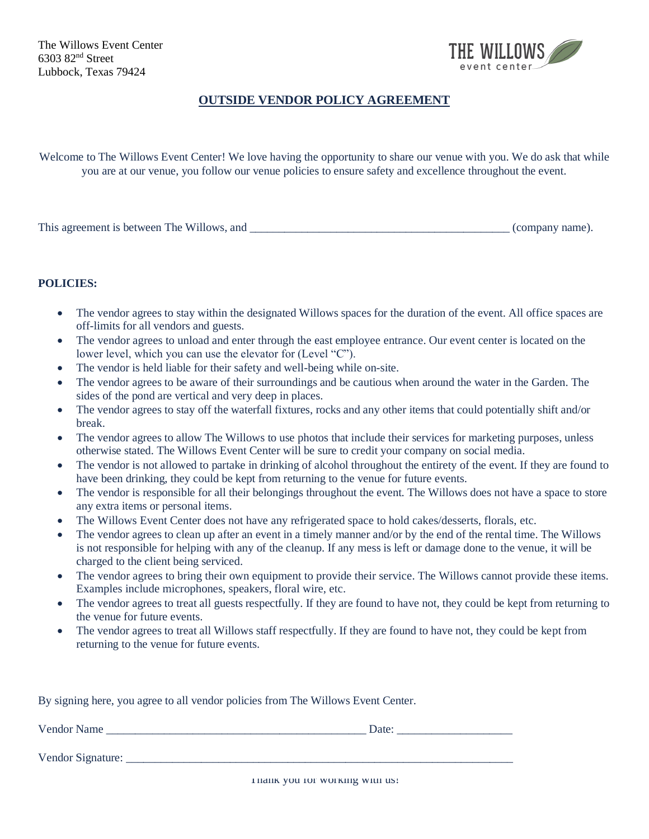

## **OUTSIDE VENDOR POLICY AGREEMENT**

Welcome to The Willows Event Center! We love having the opportunity to share our venue with you. We do ask that while you are at our venue, you follow our venue policies to ensure safety and excellence throughout the event.

This agreement is between The Willows, and \_\_\_\_\_\_\_\_\_\_\_\_\_\_\_\_\_\_\_\_\_\_\_\_\_\_\_\_\_\_\_\_\_\_\_\_\_\_\_\_\_\_\_\_\_ (company name).

## **POLICIES:**

- The vendor agrees to stay within the designated Willows spaces for the duration of the event. All office spaces are off-limits for all vendors and guests.
- The vendor agrees to unload and enter through the east employee entrance. Our event center is located on the lower level, which you can use the elevator for (Level "C").
- The vendor is held liable for their safety and well-being while on-site.
- The vendor agrees to be aware of their surroundings and be cautious when around the water in the Garden. The sides of the pond are vertical and very deep in places.
- The vendor agrees to stay off the waterfall fixtures, rocks and any other items that could potentially shift and/or break.
- The vendor agrees to allow The Willows to use photos that include their services for marketing purposes, unless otherwise stated. The Willows Event Center will be sure to credit your company on social media.
- The vendor is not allowed to partake in drinking of alcohol throughout the entirety of the event. If they are found to have been drinking, they could be kept from returning to the venue for future events.
- The vendor is responsible for all their belongings throughout the event. The Willows does not have a space to store any extra items or personal items.
- The Willows Event Center does not have any refrigerated space to hold cakes/desserts, florals, etc.
- The vendor agrees to clean up after an event in a timely manner and/or by the end of the rental time. The Willows is not responsible for helping with any of the cleanup. If any mess is left or damage done to the venue, it will be charged to the client being serviced.
- The vendor agrees to bring their own equipment to provide their service. The Willows cannot provide these items. Examples include microphones, speakers, floral wire, etc.
- The vendor agrees to treat all guests respectfully. If they are found to have not, they could be kept from returning to the venue for future events.
- The vendor agrees to treat all Willows staff respectfully. If they are found to have not, they could be kept from returning to the venue for future events.

By signing here, you agree to all vendor policies from The Willows Event Center.

Vendor Name \_\_\_\_\_\_\_\_\_\_\_\_\_\_\_\_\_\_\_\_\_\_\_\_\_\_\_\_\_\_\_\_\_\_\_\_\_\_\_\_\_\_\_\_\_ Date: \_\_\_\_\_\_\_\_\_\_\_\_\_\_\_\_\_\_\_\_

Vendor Signature: \_\_\_\_\_\_\_\_\_\_\_\_\_\_\_\_\_\_\_\_\_\_\_\_\_\_\_\_\_\_\_\_\_\_\_\_\_\_\_\_\_\_\_\_\_\_\_\_\_\_\_\_\_\_\_\_\_\_\_\_\_\_\_\_\_\_\_

Thank you for working with us!